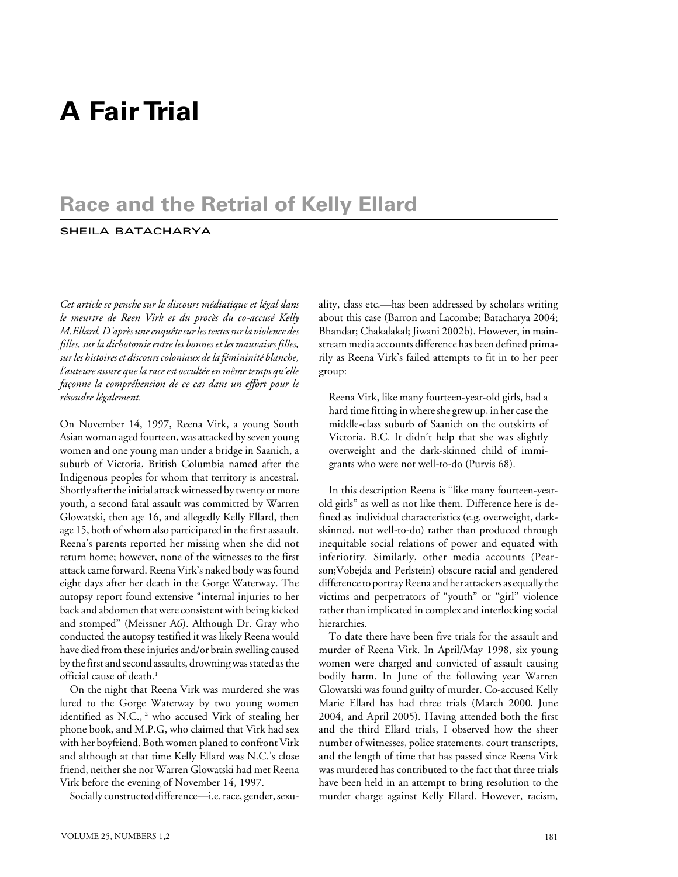# **A Fair Trial**

# **Race and the Retrial of Kelly Ellard**

# SHEILA BATACHARYA

*Cet article se penche sur le discours médiatique et légal dans le meurtre de Reen Virk et du procès du co-accusé Kelly M.Ellard. D'après une enquête sur les textes sur la violence des filles, sur la dichotomie entre les bonnes et les mauvaises filles, sur les histoires et discours coloniaux de la fémininité blanche, l'auteure assure que la race est occultée en même temps qu'elle façonne la compréhension de ce cas dans un effort pour le résoudre légalement.*

On November 14, 1997, Reena Virk, a young South Asian woman aged fourteen, was attacked by seven young women and one young man under a bridge in Saanich, a suburb of Victoria, British Columbia named after the Indigenous peoples for whom that territory is ancestral. Shortly after the initial attack witnessed by twenty or more youth, a second fatal assault was committed by Warren Glowatski, then age 16, and allegedly Kelly Ellard, then age 15, both of whom also participated in the first assault. Reena's parents reported her missing when she did not return home; however, none of the witnesses to the first attack came forward. Reena Virk's naked body was found eight days after her death in the Gorge Waterway. The autopsy report found extensive "internal injuries to her back and abdomen that were consistent with being kicked and stomped" (Meissner A6). Although Dr. Gray who conducted the autopsy testified it was likely Reena would have died from these injuries and/or brain swelling caused by the first and second assaults, drowning was stated as the official cause of death.<sup>1</sup>

On the night that Reena Virk was murdered she was lured to the Gorge Waterway by two young women identified as N.C.,<sup>2</sup> who accused Virk of stealing her phone book, and M.P.G, who claimed that Virk had sex with her boyfriend. Both women planed to confront Virk and although at that time Kelly Ellard was N.C.'s close friend, neither she nor Warren Glowatski had met Reena Virk before the evening of November 14, 1997.

Socially constructed difference—i.e. race, gender, sexu-

ality, class etc.—has been addressed by scholars writing about this case (Barron and Lacombe; Batacharya 2004; Bhandar; Chakalakal; Jiwani 2002b). However, in mainstream media accounts difference has been defined primarily as Reena Virk's failed attempts to fit in to her peer group:

Reena Virk, like many fourteen-year-old girls, had a hard time fitting in where she grew up, in her case the middle-class suburb of Saanich on the outskirts of Victoria, B.C. It didn't help that she was slightly overweight and the dark-skinned child of immigrants who were not well-to-do (Purvis 68).

In this description Reena is "like many fourteen-yearold girls" as well as not like them. Difference here is defined as individual characteristics (e.g. overweight, darkskinned, not well-to-do) rather than produced through inequitable social relations of power and equated with inferiority. Similarly, other media accounts (Pearson;Vobejda and Perlstein) obscure racial and gendered difference to portray Reena and her attackers as equally the victims and perpetrators of "youth" or "girl" violence rather than implicated in complex and interlocking social hierarchies.

To date there have been five trials for the assault and murder of Reena Virk. In April/May 1998, six young women were charged and convicted of assault causing bodily harm. In June of the following year Warren Glowatski was found guilty of murder. Co-accused Kelly Marie Ellard has had three trials (March 2000, June 2004, and April 2005). Having attended both the first and the third Ellard trials, I observed how the sheer number of witnesses, police statements, court transcripts, and the length of time that has passed since Reena Virk was murdered has contributed to the fact that three trials have been held in an attempt to bring resolution to the murder charge against Kelly Ellard. However, racism,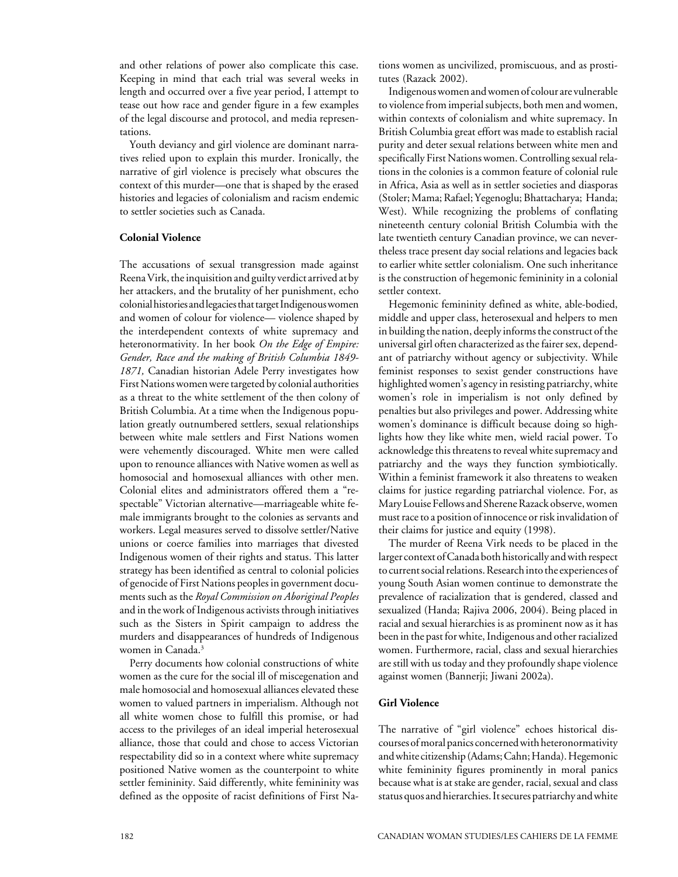and other relations of power also complicate this case. Keeping in mind that each trial was several weeks in length and occurred over a five year period, I attempt to tease out how race and gender figure in a few examples of the legal discourse and protocol, and media representations.

Youth deviancy and girl violence are dominant narratives relied upon to explain this murder. Ironically, the narrative of girl violence is precisely what obscures the context of this murder—one that is shaped by the erased histories and legacies of colonialism and racism endemic to settler societies such as Canada.

## **Colonial Violence**

The accusations of sexual transgression made against Reena Virk, the inquisition and guilty verdict arrived at by her attackers, and the brutality of her punishment, echo colonial histories and legacies that target Indigenous women and women of colour for violence— violence shaped by the interdependent contexts of white supremacy and heteronormativity. In her book *On the Edge of Empire: Gender, Race and the making of British Columbia 1849- 1871,* Canadian historian Adele Perry investigates how First Nations women were targeted by colonial authorities as a threat to the white settlement of the then colony of British Columbia. At a time when the Indigenous population greatly outnumbered settlers, sexual relationships between white male settlers and First Nations women were vehemently discouraged. White men were called upon to renounce alliances with Native women as well as homosocial and homosexual alliances with other men. Colonial elites and administrators offered them a "respectable" Victorian alternative—marriageable white female immigrants brought to the colonies as servants and workers. Legal measures served to dissolve settler/Native unions or coerce families into marriages that divested Indigenous women of their rights and status. This latter strategy has been identified as central to colonial policies of genocide of First Nations peoples in government documents such as the *Royal Commission on Aboriginal Peoples* and in the work of Indigenous activists through initiatives such as the Sisters in Spirit campaign to address the murders and disappearances of hundreds of Indigenous women in Canada.<sup>3</sup>

Perry documents how colonial constructions of white women as the cure for the social ill of miscegenation and male homosocial and homosexual alliances elevated these women to valued partners in imperialism. Although not all white women chose to fulfill this promise, or had access to the privileges of an ideal imperial heterosexual alliance, those that could and chose to access Victorian respectability did so in a context where white supremacy positioned Native women as the counterpoint to white settler femininity. Said differently, white femininity was defined as the opposite of racist definitions of First Nations women as uncivilized, promiscuous, and as prostitutes (Razack 2002).

Indigenous women and women of colour are vulnerable to violence from imperial subjects, both men and women, within contexts of colonialism and white supremacy. In British Columbia great effort was made to establish racial purity and deter sexual relations between white men and specifically First Nations women. Controlling sexual relations in the colonies is a common feature of colonial rule in Africa, Asia as well as in settler societies and diasporas (Stoler; Mama; Rafael; Yegenoglu; Bhattacharya; Handa; West). While recognizing the problems of conflating nineteenth century colonial British Columbia with the late twentieth century Canadian province, we can nevertheless trace present day social relations and legacies back to earlier white settler colonialism. One such inheritance is the construction of hegemonic femininity in a colonial settler context.

Hegemonic femininity defined as white, able-bodied, middle and upper class, heterosexual and helpers to men in building the nation, deeply informs the construct of the universal girl often characterized as the fairer sex, dependant of patriarchy without agency or subjectivity. While feminist responses to sexist gender constructions have highlighted women's agency in resisting patriarchy, white women's role in imperialism is not only defined by penalties but also privileges and power. Addressing white women's dominance is difficult because doing so highlights how they like white men, wield racial power. To acknowledge this threatens to reveal white supremacy and patriarchy and the ways they function symbiotically. Within a feminist framework it also threatens to weaken claims for justice regarding patriarchal violence. For, as Mary Louise Fellows and Sherene Razack observe, women must race to a position of innocence or risk invalidation of their claims for justice and equity (1998).

The murder of Reena Virk needs to be placed in the larger context of Canada both historically and with respect to current social relations. Research into the experiences of young South Asian women continue to demonstrate the prevalence of racialization that is gendered, classed and sexualized (Handa; Rajiva 2006, 2004). Being placed in racial and sexual hierarchies is as prominent now as it has been in the past for white, Indigenous and other racialized women. Furthermore, racial, class and sexual hierarchies are still with us today and they profoundly shape violence against women (Bannerji; Jiwani 2002a).

#### **Girl Violence**

The narrative of "girl violence" echoes historical discourses of moral panics concerned with heteronormativity and white citizenship (Adams; Cahn; Handa). Hegemonic white femininity figures prominently in moral panics because what is at stake are gender, racial, sexual and class status quos and hierarchies. It secures patriarchy and white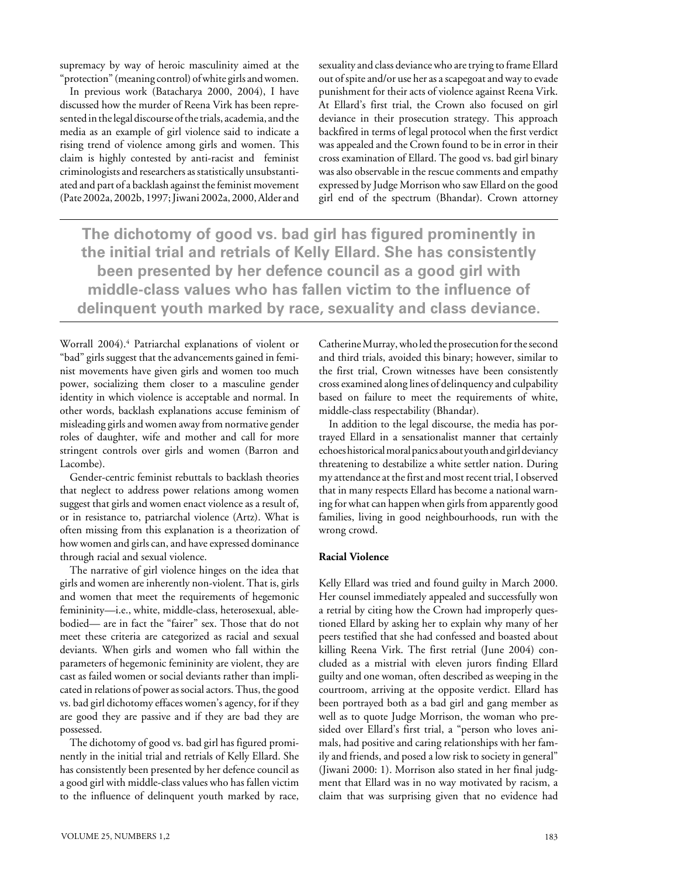supremacy by way of heroic masculinity aimed at the "protection" (meaning control) of white girls and women.

In previous work (Batacharya 2000, 2004), I have discussed how the murder of Reena Virk has been represented in the legal discourse of the trials, academia, and the media as an example of girl violence said to indicate a rising trend of violence among girls and women. This claim is highly contested by anti-racist and feminist criminologists and researchers as statistically unsubstantiated and part of a backlash against the feminist movement (Pate 2002a, 2002b, 1997; Jiwani 2002a, 2000, Alder and sexuality and class deviance who are trying to frame Ellard out of spite and/or use her as a scapegoat and way to evade punishment for their acts of violence against Reena Virk. At Ellard's first trial, the Crown also focused on girl deviance in their prosecution strategy. This approach backfired in terms of legal protocol when the first verdict was appealed and the Crown found to be in error in their cross examination of Ellard. The good vs. bad girl binary was also observable in the rescue comments and empathy expressed by Judge Morrison who saw Ellard on the good girl end of the spectrum (Bhandar). Crown attorney

**The dichotomy of good vs. bad girl has figured prominently in the initial trial and retrials of Kelly Ellard. She has consistently been presented by her defence council as a good girl with middle-class values who has fallen victim to the influence of delinquent youth marked by race, sexuality and class deviance.**

Worrall 2004).4 Patriarchal explanations of violent or "bad" girls suggest that the advancements gained in feminist movements have given girls and women too much power, socializing them closer to a masculine gender identity in which violence is acceptable and normal. In other words, backlash explanations accuse feminism of misleading girls and women away from normative gender roles of daughter, wife and mother and call for more stringent controls over girls and women (Barron and Lacombe).

Gender-centric feminist rebuttals to backlash theories that neglect to address power relations among women suggest that girls and women enact violence as a result of, or in resistance to, patriarchal violence (Artz). What is often missing from this explanation is a theorization of how women and girls can, and have expressed dominance through racial and sexual violence.

The narrative of girl violence hinges on the idea that girls and women are inherently non-violent. That is, girls and women that meet the requirements of hegemonic femininity—i.e., white, middle-class, heterosexual, ablebodied— are in fact the "fairer" sex. Those that do not meet these criteria are categorized as racial and sexual deviants. When girls and women who fall within the parameters of hegemonic femininity are violent, they are cast as failed women or social deviants rather than implicated in relations of power as social actors. Thus, the good vs. bad girl dichotomy effaces women's agency, for if they are good they are passive and if they are bad they are possessed.

The dichotomy of good vs. bad girl has figured prominently in the initial trial and retrials of Kelly Ellard. She has consistently been presented by her defence council as a good girl with middle-class values who has fallen victim to the influence of delinquent youth marked by race, Catherine Murray, who led the prosecution for the second and third trials, avoided this binary; however, similar to the first trial, Crown witnesses have been consistently cross examined along lines of delinquency and culpability based on failure to meet the requirements of white, middle-class respectability (Bhandar).

In addition to the legal discourse, the media has portrayed Ellard in a sensationalist manner that certainly echoes historical moral panics about youth and girl deviancy threatening to destabilize a white settler nation. During my attendance at the first and most recent trial, I observed that in many respects Ellard has become a national warning for what can happen when girls from apparently good families, living in good neighbourhoods, run with the wrong crowd.

#### **Racial Violence**

Kelly Ellard was tried and found guilty in March 2000. Her counsel immediately appealed and successfully won a retrial by citing how the Crown had improperly questioned Ellard by asking her to explain why many of her peers testified that she had confessed and boasted about killing Reena Virk. The first retrial (June 2004) concluded as a mistrial with eleven jurors finding Ellard guilty and one woman, often described as weeping in the courtroom, arriving at the opposite verdict. Ellard has been portrayed both as a bad girl and gang member as well as to quote Judge Morrison, the woman who presided over Ellard's first trial, a "person who loves animals, had positive and caring relationships with her family and friends, and posed a low risk to society in general" (Jiwani 2000: 1). Morrison also stated in her final judgment that Ellard was in no way motivated by racism, a claim that was surprising given that no evidence had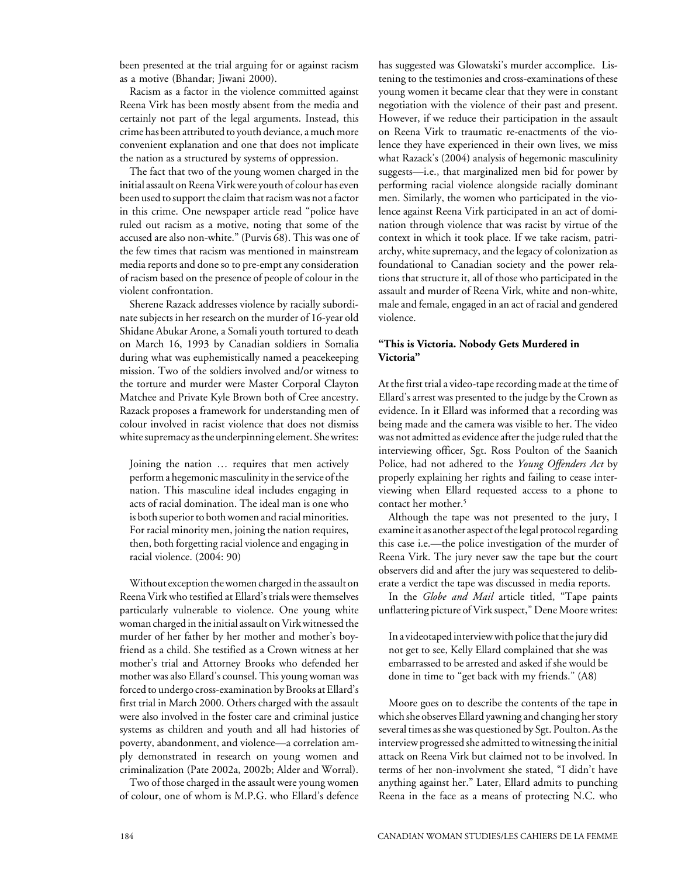been presented at the trial arguing for or against racism as a motive (Bhandar; Jiwani 2000).

Racism as a factor in the violence committed against Reena Virk has been mostly absent from the media and certainly not part of the legal arguments. Instead, this crime has been attributed to youth deviance, a much more convenient explanation and one that does not implicate the nation as a structured by systems of oppression.

The fact that two of the young women charged in the initial assault on Reena Virk were youth of colour has even been used to support the claim that racism was not a factor in this crime. One newspaper article read "police have ruled out racism as a motive, noting that some of the accused are also non-white." (Purvis 68). This was one of the few times that racism was mentioned in mainstream media reports and done so to pre-empt any consideration of racism based on the presence of people of colour in the violent confrontation.

Sherene Razack addresses violence by racially subordinate subjects in her research on the murder of 16-year old Shidane Abukar Arone, a Somali youth tortured to death on March 16, 1993 by Canadian soldiers in Somalia during what was euphemistically named a peacekeeping mission. Two of the soldiers involved and/or witness to the torture and murder were Master Corporal Clayton Matchee and Private Kyle Brown both of Cree ancestry. Razack proposes a framework for understanding men of colour involved in racist violence that does not dismiss white supremacy as the underpinning element. She writes:

Joining the nation … requires that men actively perform a hegemonic masculinity in the service of the nation. This masculine ideal includes engaging in acts of racial domination. The ideal man is one who is both superior to both women and racial minorities. For racial minority men, joining the nation requires, then, both forgetting racial violence and engaging in racial violence. (2004: 90)

Without exception the women charged in the assault on Reena Virk who testified at Ellard's trials were themselves particularly vulnerable to violence. One young white woman charged in the initial assault on Virk witnessed the murder of her father by her mother and mother's boyfriend as a child. She testified as a Crown witness at her mother's trial and Attorney Brooks who defended her mother was also Ellard's counsel. This young woman was forced to undergo cross-examination by Brooks at Ellard's first trial in March 2000. Others charged with the assault were also involved in the foster care and criminal justice systems as children and youth and all had histories of poverty, abandonment, and violence—a correlation amply demonstrated in research on young women and criminalization (Pate 2002a, 2002b; Alder and Worral).

Two of those charged in the assault were young women of colour, one of whom is M.P.G. who Ellard's defence has suggested was Glowatski's murder accomplice. Listening to the testimonies and cross-examinations of these young women it became clear that they were in constant negotiation with the violence of their past and present. However, if we reduce their participation in the assault on Reena Virk to traumatic re-enactments of the violence they have experienced in their own lives, we miss what Razack's (2004**)** analysis of hegemonic masculinity suggests—i.e., that marginalized men bid for power by performing racial violence alongside racially dominant men. Similarly, the women who participated in the violence against Reena Virk participated in an act of domination through violence that was racist by virtue of the context in which it took place. If we take racism, patriarchy, white supremacy, and the legacy of colonization as foundational to Canadian society and the power relations that structure it, all of those who participated in the assault and murder of Reena Virk, white and non-white, male and female, engaged in an act of racial and gendered violence.

## **"This is Victoria. Nobody Gets Murdered in Victoria"**

At the first trial a video-tape recording made at the time of Ellard's arrest was presented to the judge by the Crown as evidence. In it Ellard was informed that a recording was being made and the camera was visible to her. The video was not admitted as evidence after the judge ruled that the interviewing officer, Sgt. Ross Poulton of the Saanich Police, had not adhered to the *Young Offenders Act* by properly explaining her rights and failing to cease interviewing when Ellard requested access to a phone to contact her mother.<sup>5</sup>

Although the tape was not presented to the jury, I examine it as another aspect of the legal protocol regarding this case i.e.—the police investigation of the murder of Reena Virk. The jury never saw the tape but the court observers did and after the jury was sequestered to deliberate a verdict the tape was discussed in media reports.

In the *Globe and Mail* article titled, "Tape paints unflattering picture of Virk suspect," Dene Moore writes:

In a videotaped interview with police that the jury did not get to see, Kelly Ellard complained that she was embarrassed to be arrested and asked if she would be done in time to "get back with my friends." (A8)

Moore goes on to describe the contents of the tape in which she observes Ellard yawning and changing her story several times as she was questioned by Sgt. Poulton. As the interview progressed she admitted to witnessing the initial attack on Reena Virk but claimed not to be involved. In terms of her non-involvment she stated, "I didn't have anything against her." Later, Ellard admits to punching Reena in the face as a means of protecting N.C. who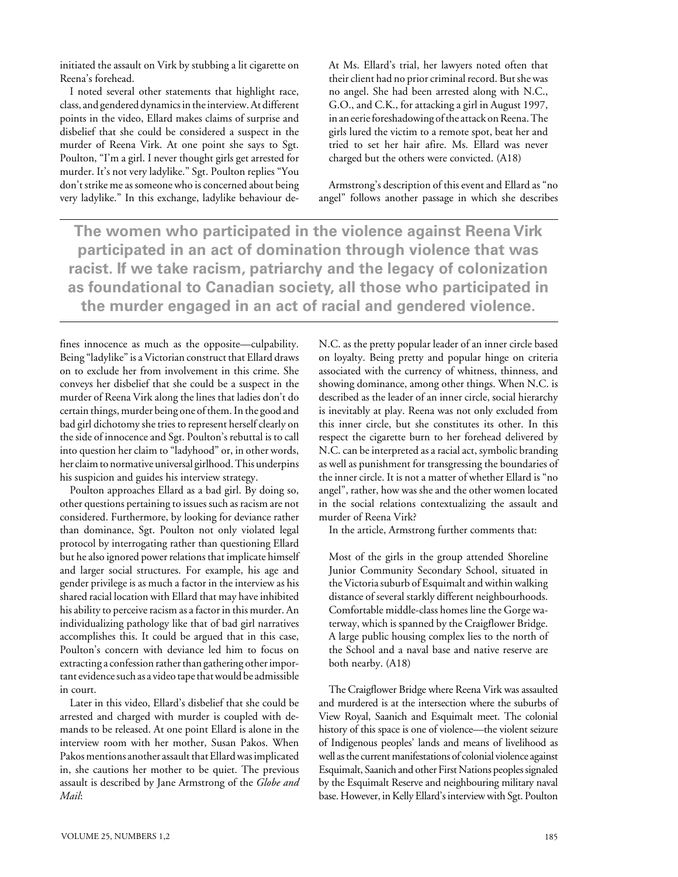initiated the assault on Virk by stubbing a lit cigarette on Reena's forehead.

I noted several other statements that highlight race, class, and gendered dynamics in the interview. At different points in the video, Ellard makes claims of surprise and disbelief that she could be considered a suspect in the murder of Reena Virk. At one point she says to Sgt. Poulton, "I'm a girl. I never thought girls get arrested for murder. It's not very ladylike." Sgt. Poulton replies "You don't strike me as someone who is concerned about being very ladylike." In this exchange, ladylike behaviour deAt Ms. Ellard's trial, her lawyers noted often that their client had no prior criminal record. But she was no angel. She had been arrested along with N.C., G.O., and C.K., for attacking a girl in August 1997, in an eerie foreshadowing of the attack on Reena. The girls lured the victim to a remote spot, beat her and tried to set her hair afire. Ms. Ellard was never charged but the others were convicted. (A18)

Armstrong's description of this event and Ellard as "no angel" follows another passage in which she describes

**The women who participated in the violence against Reena Virk participated in an act of domination through violence that was racist. If we take racism, patriarchy and the legacy of colonization as foundational to Canadian society, all those who participated in the murder engaged in an act of racial and gendered violence.**

fines innocence as much as the opposite—culpability. Being "ladylike" is a Victorian construct that Ellard draws on to exclude her from involvement in this crime. She conveys her disbelief that she could be a suspect in the murder of Reena Virk along the lines that ladies don't do certain things, murder being one of them. In the good and bad girl dichotomy she tries to represent herself clearly on the side of innocence and Sgt. Poulton's rebuttal is to call into question her claim to "ladyhood" or, in other words, her claim to normative universal girlhood. This underpins his suspicion and guides his interview strategy.

Poulton approaches Ellard as a bad girl. By doing so, other questions pertaining to issues such as racism are not considered. Furthermore, by looking for deviance rather than dominance, Sgt. Poulton not only violated legal protocol by interrogating rather than questioning Ellard but he also ignored power relations that implicate himself and larger social structures. For example, his age and gender privilege is as much a factor in the interview as his shared racial location with Ellard that may have inhibited his ability to perceive racism as a factor in this murder. An individualizing pathology like that of bad girl narratives accomplishes this. It could be argued that in this case, Poulton's concern with deviance led him to focus on extracting a confession rather than gathering other important evidence such as a video tape that would be admissible in court.

Later in this video, Ellard's disbelief that she could be arrested and charged with murder is coupled with demands to be released. At one point Ellard is alone in the interview room with her mother, Susan Pakos. When Pakos mentions another assault that Ellard was implicated in, she cautions her mother to be quiet. The previous assault is described by Jane Armstrong of the *Globe and Mail*:

N.C. as the pretty popular leader of an inner circle based on loyalty. Being pretty and popular hinge on criteria associated with the currency of whitness, thinness, and showing dominance, among other things. When N.C. is described as the leader of an inner circle, social hierarchy is inevitably at play. Reena was not only excluded from this inner circle, but she constitutes its other. In this respect the cigarette burn to her forehead delivered by N.C. can be interpreted as a racial act, symbolic branding as well as punishment for transgressing the boundaries of the inner circle. It is not a matter of whether Ellard is "no angel", rather, how was she and the other women located in the social relations contextualizing the assault and murder of Reena Virk?

In the article, Armstrong further comments that:

Most of the girls in the group attended Shoreline Junior Community Secondary School, situated in the Victoria suburb of Esquimalt and within walking distance of several starkly different neighbourhoods. Comfortable middle-class homes line the Gorge waterway, which is spanned by the Craigflower Bridge. A large public housing complex lies to the north of the School and a naval base and native reserve are both nearby. (A18)

The Craigflower Bridge where Reena Virk was assaulted and murdered is at the intersection where the suburbs of View Royal, Saanich and Esquimalt meet. The colonial history of this space is one of violence—the violent seizure of Indigenous peoples' lands and means of livelihood as well as the current manifestations of colonial violence against Esquimalt, Saanich and other First Nations peoples signaled by the Esquimalt Reserve and neighbouring military naval base. However, in Kelly Ellard's interview with Sgt. Poulton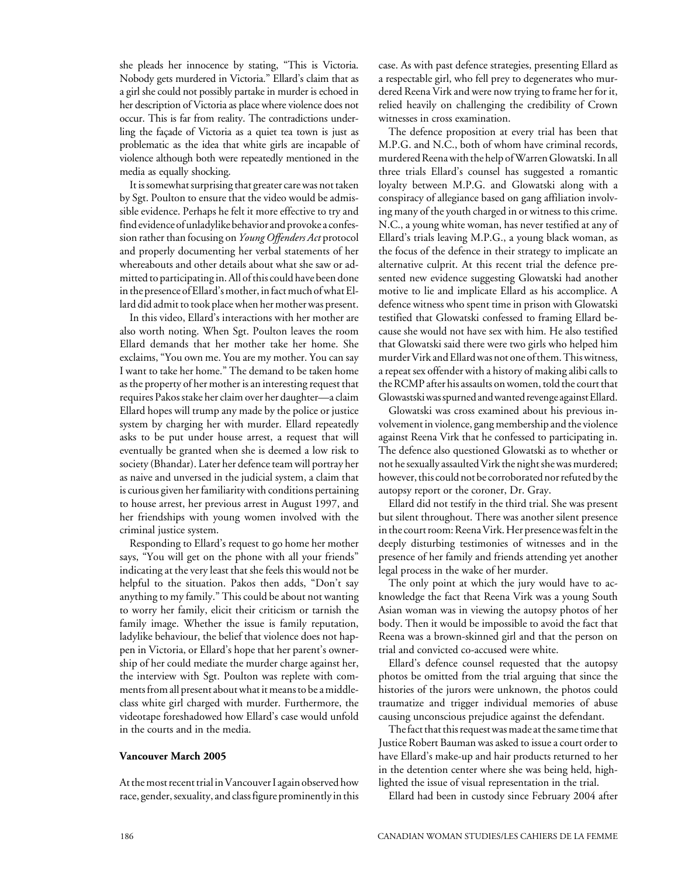she pleads her innocence by stating, "This is Victoria. Nobody gets murdered in Victoria." Ellard's claim that as a girl she could not possibly partake in murder is echoed in her description of Victoria as place where violence does not occur. This is far from reality. The contradictions underling the façade of Victoria as a quiet tea town is just as problematic as the idea that white girls are incapable of violence although both were repeatedly mentioned in the media as equally shocking.

It is somewhat surprising that greater care was not taken by Sgt. Poulton to ensure that the video would be admissible evidence. Perhaps he felt it more effective to try and find evidence of unladylike behavior and provoke a confession rather than focusing on *Young Offenders Act* protocol and properly documenting her verbal statements of her whereabouts and other details about what she saw or admitted to participating in. All of this could have been done in the presence of Ellard's mother, in fact much of what Ellard did admit to took place when her mother was present.

In this video, Ellard's interactions with her mother are also worth noting. When Sgt. Poulton leaves the room Ellard demands that her mother take her home. She exclaims, "You own me. You are my mother. You can say I want to take her home." The demand to be taken home as the property of her mother is an interesting request that requires Pakos stake her claim over her daughter—a claim Ellard hopes will trump any made by the police or justice system by charging her with murder. Ellard repeatedly asks to be put under house arrest, a request that will eventually be granted when she is deemed a low risk to society (Bhandar). Later her defence team will portray her as naive and unversed in the judicial system, a claim that is curious given her familiarity with conditions pertaining to house arrest, her previous arrest in August 1997, and her friendships with young women involved with the criminal justice system.

Responding to Ellard's request to go home her mother says, "You will get on the phone with all your friends" indicating at the very least that she feels this would not be helpful to the situation. Pakos then adds, "Don't say anything to my family." This could be about not wanting to worry her family, elicit their criticism or tarnish the family image. Whether the issue is family reputation, ladylike behaviour, the belief that violence does not happen in Victoria, or Ellard's hope that her parent's ownership of her could mediate the murder charge against her, the interview with Sgt. Poulton was replete with comments from all present about what it means to be a middleclass white girl charged with murder. Furthermore, the videotape foreshadowed how Ellard's case would unfold in the courts and in the media.

#### **Vancouver March 2005**

At the most recent trial in Vancouver I again observed how race, gender, sexuality, and class figure prominently in this case. As with past defence strategies, presenting Ellard as a respectable girl, who fell prey to degenerates who murdered Reena Virk and were now trying to frame her for it, relied heavily on challenging the credibility of Crown witnesses in cross examination.

The defence proposition at every trial has been that M.P.G. and N.C., both of whom have criminal records, murdered Reena with the help of Warren Glowatski. In all three trials Ellard's counsel has suggested a romantic loyalty between M.P.G. and Glowatski along with a conspiracy of allegiance based on gang affiliation involving many of the youth charged in or witness to this crime. N.C., a young white woman, has never testified at any of Ellard's trials leaving M.P.G., a young black woman, as the focus of the defence in their strategy to implicate an alternative culprit. At this recent trial the defence presented new evidence suggesting Glowatski had another motive to lie and implicate Ellard as his accomplice. A defence witness who spent time in prison with Glowatski testified that Glowatski confessed to framing Ellard because she would not have sex with him. He also testified that Glowatski said there were two girls who helped him murder Virk and Ellard was not one of them. This witness, a repeat sex offender with a history of making alibi calls to the RCMP after his assaults on women, told the court that Glowastski was spurned and wanted revenge against Ellard.

Glowatski was cross examined about his previous involvement in violence, gang membership and the violence against Reena Virk that he confessed to participating in. The defence also questioned Glowatski as to whether or not he sexually assaulted Virk the night she was murdered; however, this could not be corroborated nor refuted by the autopsy report or the coroner, Dr. Gray.

Ellard did not testify in the third trial. She was present but silent throughout. There was another silent presence in the court room: Reena Virk. Her presence was felt in the deeply disturbing testimonies of witnesses and in the presence of her family and friends attending yet another legal process in the wake of her murder.

The only point at which the jury would have to acknowledge the fact that Reena Virk was a young South Asian woman was in viewing the autopsy photos of her body. Then it would be impossible to avoid the fact that Reena was a brown-skinned girl and that the person on trial and convicted co-accused were white.

Ellard's defence counsel requested that the autopsy photos be omitted from the trial arguing that since the histories of the jurors were unknown, the photos could traumatize and trigger individual memories of abuse causing unconscious prejudice against the defendant.

The fact that this request was made at the same time that Justice Robert Bauman was asked to issue a court order to have Ellard's make-up and hair products returned to her in the detention center where she was being held, highlighted the issue of visual representation in the trial.

Ellard had been in custody since February 2004 after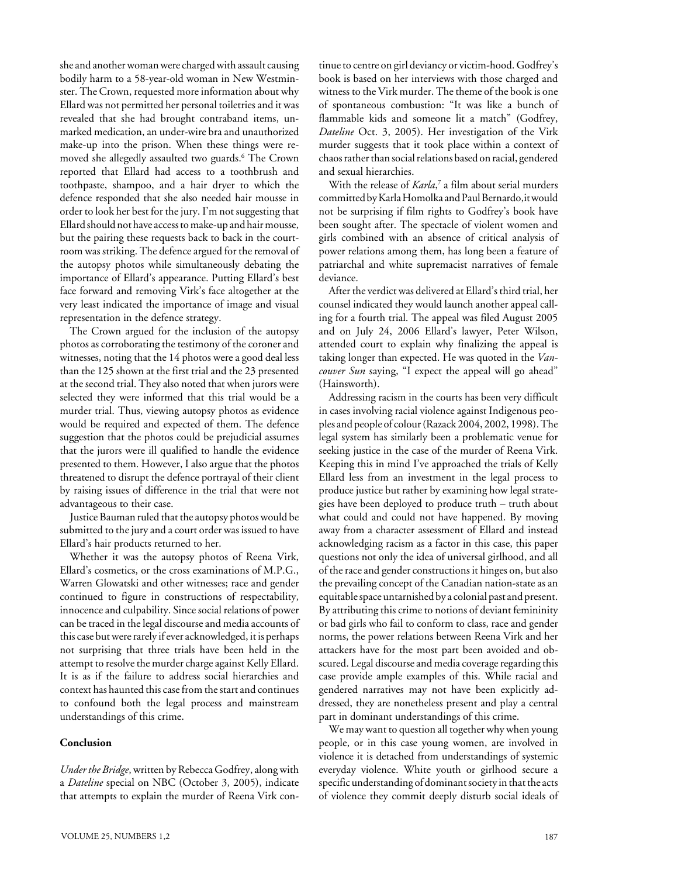she and another woman were charged with assault causing bodily harm to a 58-year-old woman in New Westminster. The Crown, requested more information about why Ellard was not permitted her personal toiletries and it was revealed that she had brought contraband items, unmarked medication, an under-wire bra and unauthorized make-up into the prison. When these things were removed she allegedly assaulted two guards.6 The Crown reported that Ellard had access to a toothbrush and toothpaste, shampoo, and a hair dryer to which the defence responded that she also needed hair mousse in order to look her best for the jury. I'm not suggesting that Ellard should not have access to make-up and hair mousse, but the pairing these requests back to back in the courtroom was striking. The defence argued for the removal of the autopsy photos while simultaneously debating the importance of Ellard's appearance. Putting Ellard's best face forward and removing Virk's face altogether at the very least indicated the importance of image and visual representation in the defence strategy.

The Crown argued for the inclusion of the autopsy photos as corroborating the testimony of the coroner and witnesses, noting that the 14 photos were a good deal less than the 125 shown at the first trial and the 23 presented at the second trial. They also noted that when jurors were selected they were informed that this trial would be a murder trial. Thus, viewing autopsy photos as evidence would be required and expected of them. The defence suggestion that the photos could be prejudicial assumes that the jurors were ill qualified to handle the evidence presented to them. However, I also argue that the photos threatened to disrupt the defence portrayal of their client by raising issues of difference in the trial that were not advantageous to their case.

Justice Bauman ruled that the autopsy photos would be submitted to the jury and a court order was issued to have Ellard's hair products returned to her.

Whether it was the autopsy photos of Reena Virk, Ellard's cosmetics, or the cross examinations of M.P.G., Warren Glowatski and other witnesses; race and gender continued to figure in constructions of respectability, innocence and culpability. Since social relations of power can be traced in the legal discourse and media accounts of this case but were rarely if ever acknowledged, it is perhaps not surprising that three trials have been held in the attempt to resolve the murder charge against Kelly Ellard. It is as if the failure to address social hierarchies and context has haunted this case from the start and continues to confound both the legal process and mainstream understandings of this crime.

#### **Conclusion**

*Under the Bridge*, written by Rebecca Godfrey, along with a *Dateline* special on NBC (October 3, 2005), indicate that attempts to explain the murder of Reena Virk continue to centre on girl deviancy or victim-hood. Godfrey's book is based on her interviews with those charged and witness to the Virk murder. The theme of the book is one of spontaneous combustion: "It was like a bunch of flammable kids and someone lit a match" (Godfrey, *Dateline* Oct. 3, 2005). Her investigation of the Virk murder suggests that it took place within a context of chaos rather than social relations based on racial, gendered and sexual hierarchies.

With the release of *Karla*, 7 a film about serial murders committed by Karla Homolka and Paul Bernardo,it would not be surprising if film rights to Godfrey's book have been sought after. The spectacle of violent women and girls combined with an absence of critical analysis of power relations among them, has long been a feature of patriarchal and white supremacist narratives of female deviance.

After the verdict was delivered at Ellard's third trial, her counsel indicated they would launch another appeal calling for a fourth trial. The appeal was filed August 2005 and on July 24, 2006 Ellard's lawyer, Peter Wilson, attended court to explain why finalizing the appeal is taking longer than expected. He was quoted in the *Vancouver Sun* saying, "I expect the appeal will go ahead" (Hainsworth).

Addressing racism in the courts has been very difficult in cases involving racial violence against Indigenous peoples and people of colour (Razack 2004, 2002, 1998). The legal system has similarly been a problematic venue for seeking justice in the case of the murder of Reena Virk. Keeping this in mind I've approached the trials of Kelly Ellard less from an investment in the legal process to produce justice but rather by examining how legal strategies have been deployed to produce truth – truth about what could and could not have happened. By moving away from a character assessment of Ellard and instead acknowledging racism as a factor in this case, this paper questions not only the idea of universal girlhood, and all of the race and gender constructions it hinges on, but also the prevailing concept of the Canadian nation-state as an equitable space untarnished by a colonial past and present. By attributing this crime to notions of deviant femininity or bad girls who fail to conform to class, race and gender norms, the power relations between Reena Virk and her attackers have for the most part been avoided and obscured. Legal discourse and media coverage regarding this case provide ample examples of this. While racial and gendered narratives may not have been explicitly addressed, they are nonetheless present and play a central part in dominant understandings of this crime.

We may want to question all together why when young people, or in this case young women, are involved in violence it is detached from understandings of systemic everyday violence. White youth or girlhood secure a specific understanding of dominant society in that the acts of violence they commit deeply disturb social ideals of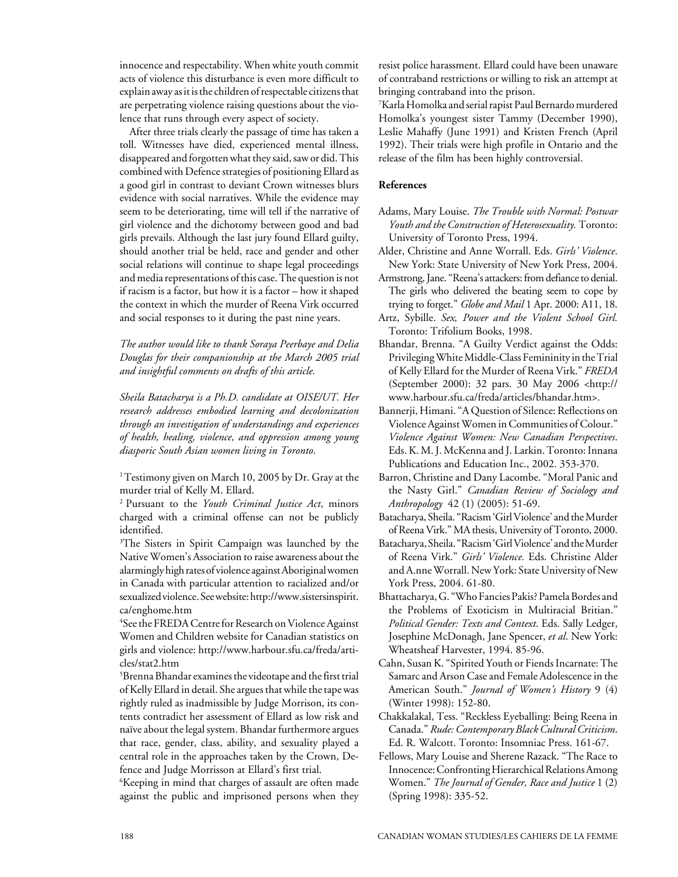innocence and respectability. When white youth commit acts of violence this disturbance is even more difficult to explain away as it is the children of respectable citizens that are perpetrating violence raising questions about the violence that runs through every aspect of society.

After three trials clearly the passage of time has taken a toll. Witnesses have died, experienced mental illness, disappeared and forgotten what they said, saw or did. This combined with Defence strategies of positioning Ellard as a good girl in contrast to deviant Crown witnesses blurs evidence with social narratives. While the evidence may seem to be deteriorating, time will tell if the narrative of girl violence and the dichotomy between good and bad girls prevails. Although the last jury found Ellard guilty, should another trial be held, race and gender and other social relations will continue to shape legal proceedings and media representations of this case. The question is not if racism is a factor, but how it is a factor – how it shaped the context in which the murder of Reena Virk occurred and social responses to it during the past nine years.

*The author would like to thank Soraya Peerbaye and Delia Douglas for their companionship at the March 2005 trial and insightful comments on drafts of this article.*

*Sheila Batacharya is a Ph.D. candidate at OISE/UT. Her research addresses embodied learning and decolonization through an investigation of understandings and experiences of health, healing, violence, and oppression among young diasporic South Asian women living in Toronto*.

<sup>1</sup> Testimony given on March 10, 2005 by Dr. Gray at the murder trial of Kelly M. Ellard.

2 Pursuant to the *Youth Criminal Justice Act*, minors charged with a criminal offense can not be publicly identified.

3 The Sisters in Spirit Campaign was launched by the Native Women's Association to raise awareness about the alarmingly high rates of violence against Aboriginal women in Canada with particular attention to racialized and/or sexualized violence. See website: http://www.sistersinspirit. ca/enghome.htm

4 See the FREDA Centre for Research on Violence Against Women and Children website for Canadian statistics on girls and violence: http://www.harbour.sfu.ca/freda/articles/stat2.htm

 $^5$ Brenna Bhandar examines the videotape and the first trial of Kelly Ellard in detail. She argues that while the tape was rightly ruled as inadmissible by Judge Morrison, its contents contradict her assessment of Ellard as low risk and naïve about the legal system. Bhandar furthermore argues that race, gender, class, ability, and sexuality played a central role in the approaches taken by the Crown, Defence and Judge Morrisson at Ellard's first trial.

 $\rm ^6$ Keeping in mind that charges of assault are often made against the public and imprisoned persons when they resist police harassment. Ellard could have been unaware of contraband restrictions or willing to risk an attempt at bringing contraband into the prison.

7 Karla Homolka and serial rapist Paul Bernardo murdered Homolka's youngest sister Tammy (December 1990), Leslie Mahaffy (June 1991) and Kristen French (April 1992). Their trials were high profile in Ontario and the release of the film has been highly controversial.

#### **References**

- Adams, Mary Louise. *The Trouble with Normal: Postwar Youth and the Construction of Heterosexuality.* Toronto: University of Toronto Press, 1994.
- Alder, Christine and Anne Worrall. Eds. *Girls' Violence*. New York: State University of New York Press, 2004.
- Armstrong, Jane. "Reena's attackers: from defiance to denial. The girls who delivered the beating seem to cope by trying to forget." *Globe and Mail* 1 Apr. 2000: A11, 18.
- Artz, Sybille. *Sex, Power and the Violent School Girl.* Toronto: Trifolium Books, 1998.
- Bhandar, Brenna. "A Guilty Verdict against the Odds: Privileging White Middle-Class Femininity in the Trial of Kelly Ellard for the Murder of Reena Virk." *FREDA* (September 2000): 32 pars. 30 May 2006 <http:// www.harbour.sfu.ca/freda/articles/bhandar.htm>.
- Bannerji, Himani. "A Question of Silence: Reflections on Violence Against Women in Communities of Colour." *Violence Against Women: New Canadian Perspectives*. Eds. K. M. J. McKenna and J. Larkin. Toronto: Innana Publications and Education Inc., 2002. 353-370.
- Barron, Christine and Dany Lacombe. "Moral Panic and the Nasty Girl." *Canadian Review of Sociology and Anthropology* 42 (1) (2005): 51-69.
- Batacharya, Sheila. "Racism 'Girl Violence' and the Murder of Reena Virk." MA thesis, University of Toronto, 2000.
- Batacharya, Sheila. "Racism 'Girl Violence' and the Murder of Reena Virk." *Girls' Violence.* Eds. Christine Alder and A.nne Worrall. New York: State University of New York Press, 2004. 61-80.
- Bhattacharya, G. "Who Fancies Pakis? Pamela Bordes and the Problems of Exoticism in Multiracial Britian." *Political Gender: Texts and Context*. Eds. Sally Ledger, Josephine McDonagh, Jane Spencer, *et al*. New York: Wheatsheaf Harvester, 1994. 85-96.
- Cahn, Susan K. "Spirited Youth or Fiends Incarnate: The Samarc and Arson Case and Female Adolescence in the American South." *Journal of Women's History* 9 (4) (Winter 1998): 152-80.
- Chakkalakal, Tess. "Reckless Eyeballing: Being Reena in Canada." *Rude: Contemporary Black Cultural Criticism*. Ed. R. Walcott. Toronto: Insomniac Press. 161-67.
- Fellows, Mary Louise and Sherene Razack. "The Race to Innocence: Confronting Hierarchical Relations Among Women." *The Journal of Gender, Race and Justice* 1 (2) (Spring 1998): 335-52.